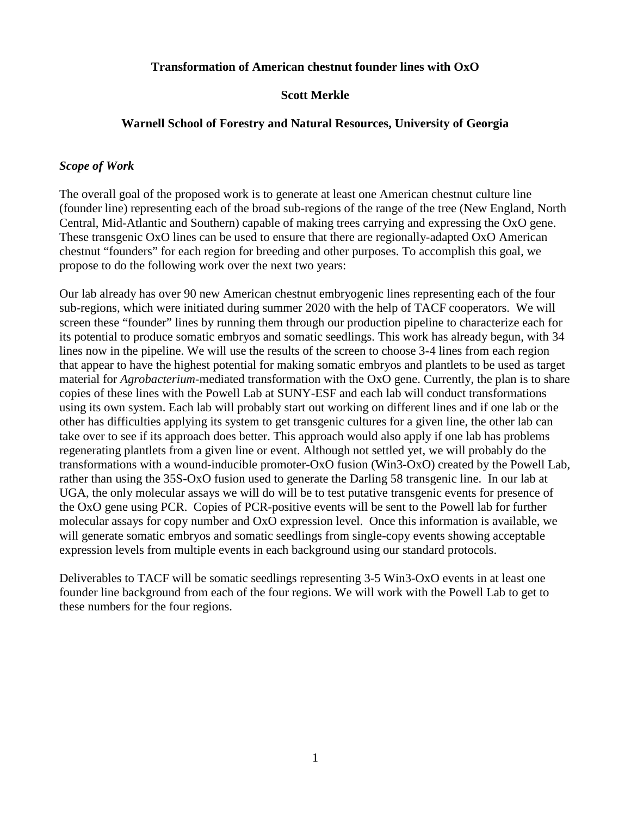#### **Transformation of American chestnut founder lines with OxO**

#### **Scott Merkle**

#### **Warnell School of Forestry and Natural Resources, University of Georgia**

#### *Scope of Work*

The overall goal of the proposed work is to generate at least one American chestnut culture line (founder line) representing each of the broad sub-regions of the range of the tree (New England, North Central, Mid-Atlantic and Southern) capable of making trees carrying and expressing the OxO gene. These transgenic OxO lines can be used to ensure that there are regionally-adapted OxO American chestnut "founders" for each region for breeding and other purposes. To accomplish this goal, we propose to do the following work over the next two years:

Our lab already has over 90 new American chestnut embryogenic lines representing each of the four sub-regions, which were initiated during summer 2020 with the help of TACF cooperators. We will screen these "founder" lines by running them through our production pipeline to characterize each for its potential to produce somatic embryos and somatic seedlings. This work has already begun, with 34 lines now in the pipeline. We will use the results of the screen to choose 3-4 lines from each region that appear to have the highest potential for making somatic embryos and plantlets to be used as target material for *Agrobacterium*-mediated transformation with the OxO gene. Currently, the plan is to share copies of these lines with the Powell Lab at SUNY-ESF and each lab will conduct transformations using its own system. Each lab will probably start out working on different lines and if one lab or the other has difficulties applying its system to get transgenic cultures for a given line, the other lab can take over to see if its approach does better. This approach would also apply if one lab has problems regenerating plantlets from a given line or event. Although not settled yet, we will probably do the transformations with a wound-inducible promoter-OxO fusion (Win3-OxO) created by the Powell Lab, rather than using the 35S-OxO fusion used to generate the Darling 58 transgenic line. In our lab at UGA, the only molecular assays we will do will be to test putative transgenic events for presence of the OxO gene using PCR. Copies of PCR-positive events will be sent to the Powell lab for further molecular assays for copy number and OxO expression level. Once this information is available, we will generate somatic embryos and somatic seedlings from single-copy events showing acceptable expression levels from multiple events in each background using our standard protocols.

Deliverables to TACF will be somatic seedlings representing 3-5 Win3-OxO events in at least one founder line background from each of the four regions. We will work with the Powell Lab to get to these numbers for the four regions.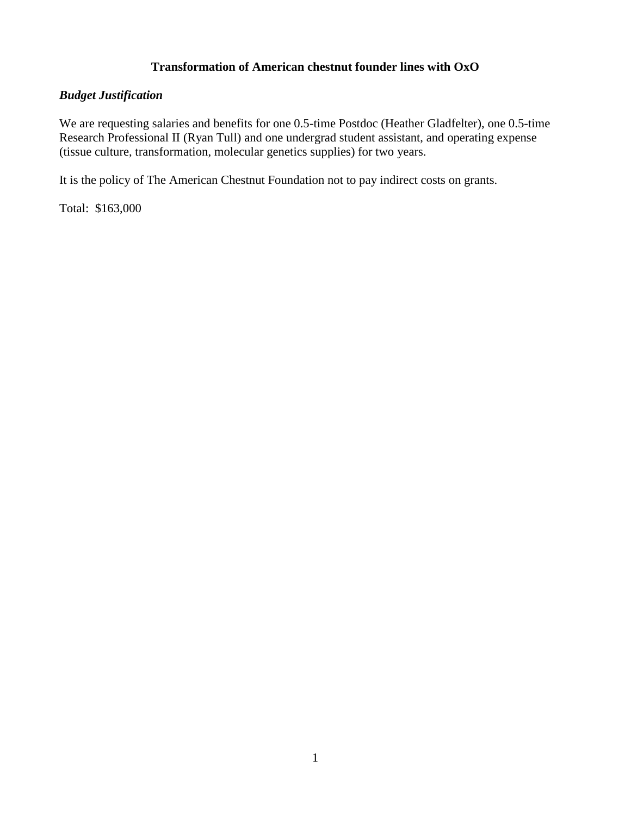### **Transformation of American chestnut founder lines with OxO**

## *Budget Justification*

We are requesting salaries and benefits for one 0.5-time Postdoc (Heather Gladfelter), one 0.5-time Research Professional II (Ryan Tull) and one undergrad student assistant, and operating expense (tissue culture, transformation, molecular genetics supplies) for two years.

It is the policy of The American Chestnut Foundation not to pay indirect costs on grants.

Total: \$163,000